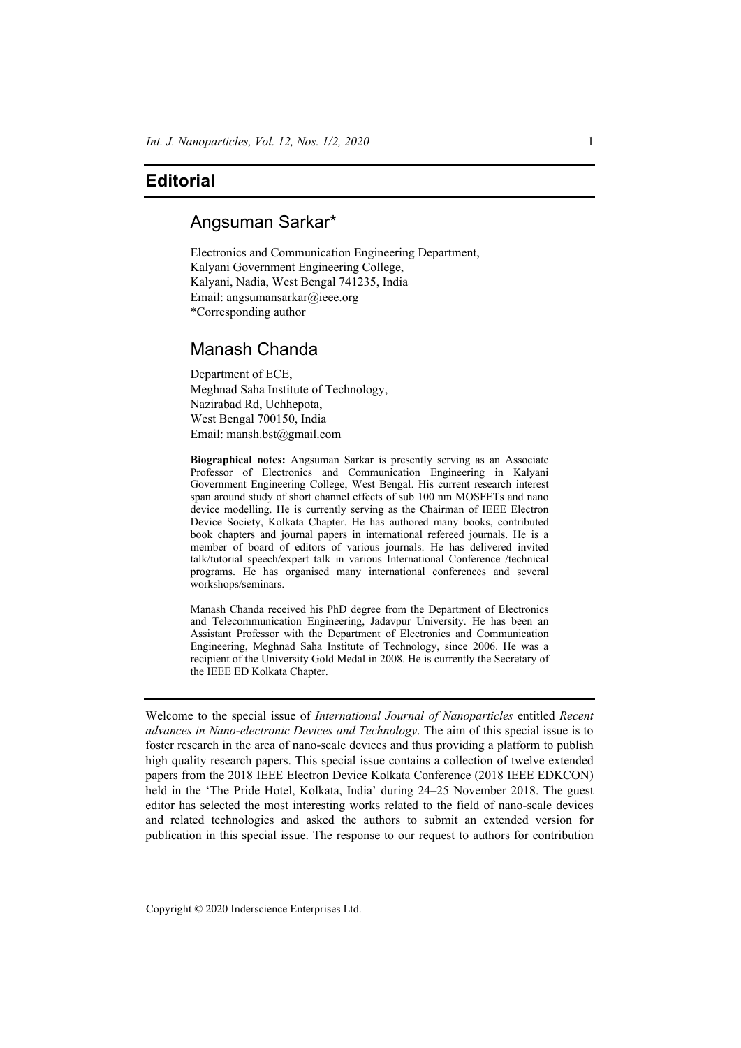## **Editorial**

## Angsuman Sarkar\*

Electronics and Communication Engineering Department, Kalyani Government Engineering College, Kalyani, Nadia, West Bengal 741235, India Email: angsumansarkar@ieee.org \*Corresponding author

## Manash Chanda

Department of ECE, Meghnad Saha Institute of Technology, Nazirabad Rd, Uchhepota, West Bengal 700150, India Email: mansh.bst@gmail.com

**Biographical notes:** Angsuman Sarkar is presently serving as an Associate Professor of Electronics and Communication Engineering in Kalyani Government Engineering College, West Bengal. His current research interest span around study of short channel effects of sub 100 nm MOSFETs and nano device modelling. He is currently serving as the Chairman of IEEE Electron Device Society, Kolkata Chapter. He has authored many books, contributed book chapters and journal papers in international refereed journals. He is a member of board of editors of various journals. He has delivered invited talk/tutorial speech/expert talk in various International Conference /technical programs. He has organised many international conferences and several workshops/seminars.

Manash Chanda received his PhD degree from the Department of Electronics and Telecommunication Engineering, Jadavpur University. He has been an Assistant Professor with the Department of Electronics and Communication Engineering, Meghnad Saha Institute of Technology, since 2006. He was a recipient of the University Gold Medal in 2008. He is currently the Secretary of the IEEE ED Kolkata Chapter.

Welcome to the special issue of *International Journal of Nanoparticles* entitled *Recent advances in Nano-electronic Devices and Technology*. The aim of this special issue is to foster research in the area of nano-scale devices and thus providing a platform to publish high quality research papers. This special issue contains a collection of twelve extended papers from the 2018 IEEE Electron Device Kolkata Conference (2018 IEEE EDKCON) held in the 'The Pride Hotel, Kolkata, India' during 24–25 November 2018. The guest editor has selected the most interesting works related to the field of nano-scale devices and related technologies and asked the authors to submit an extended version for publication in this special issue. The response to our request to authors for contribution